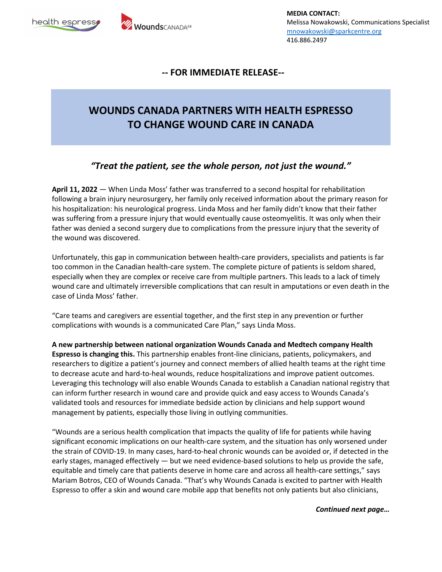



**MEDIA CONTACT:** Melissa Nowakowski, Communications Specialist mnowakowski@sparkcentre.org 416.886.2497

#### **-- FOR IMMEDIATE RELEASE--**

# **WOUNDS CANADA PARTNERS WITH HEALTH ESPRESSO TO CHANGE WOUND CARE IN CANADA**

## *"Treat the patient, see the whole person, not just the wound."*

**April 11, 2022** — When Linda Moss' father was transferred to a second hospital for rehabilitation following a brain injury neurosurgery, her family only received information about the primary reason for his hospitalization: his neurological progress. Linda Moss and her family didn't know that their father was suffering from a pressure injury that would eventually cause osteomyelitis. It was only when their father was denied a second surgery due to complications from the pressure injury that the severity of the wound was discovered.

Unfortunately, this gap in communication between health-care providers, specialists and patients is far too common in the Canadian health-care system. The complete picture of patients is seldom shared, especially when they are complex or receive care from multiple partners. This leads to a lack of timely wound care and ultimately irreversible complications that can result in amputations or even death in the case of Linda Moss' father.

"Care teams and caregivers are essential together, and the first step in any prevention or further complications with wounds is a communicated Care Plan," says Linda Moss.

**A new partnership between national organization Wounds Canada and Medtech company Health Espresso is changing this.** This partnership enables front-line clinicians, patients, policymakers, and researchers to digitize a patient's journey and connect members of allied health teams at the right time to decrease acute and hard-to-heal wounds, reduce hospitalizations and improve patient outcomes. Leveraging this technology will also enable Wounds Canada to establish a Canadian national registry that can inform further research in wound care and provide quick and easy access to Wounds Canada's validated tools and resources for immediate bedside action by clinicians and help support wound management by patients, especially those living in outlying communities.

"Wounds are a serious health complication that impacts the quality of life for patients while having significant economic implications on our health-care system, and the situation has only worsened under the strain of COVID-19. In many cases, hard-to-heal chronic wounds can be avoided or, if detected in the early stages, managed effectively — but we need evidence-based solutions to help us provide the safe, equitable and timely care that patients deserve in home care and across all health-care settings," says Mariam Botros, CEO of Wounds Canada. "That's why Wounds Canada is excited to partner with Health Espresso to offer a skin and wound care mobile app that benefits not only patients but also clinicians,

*Continued next page…*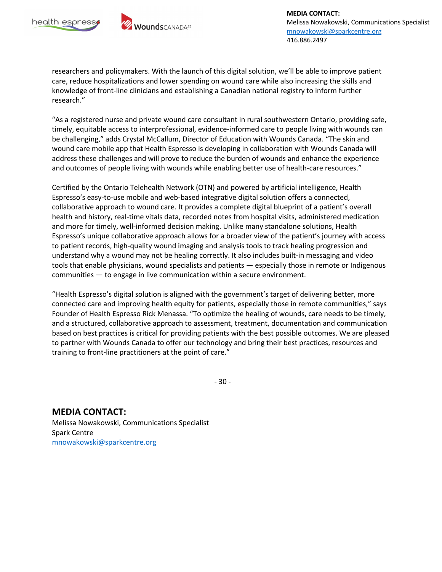



**MEDIA CONTACT:** Melissa Nowakowski, Communications Specialist mnowakowski@sparkcentre.org 416.886.2497

researchers and policymakers. With the launch of this digital solution, we'll be able to improve patient care, reduce hospitalizations and lower spending on wound care while also increasing the skills and knowledge of front-line clinicians and establishing a Canadian national registry to inform further research."

"As a registered nurse and private wound care consultant in rural southwestern Ontario, providing safe, timely, equitable access to interprofessional, evidence-informed care to people living with wounds can be challenging," adds Crystal McCallum, Director of Education with Wounds Canada. "The skin and wound care mobile app that Health Espresso is developing in collaboration with Wounds Canada will address these challenges and will prove to reduce the burden of wounds and enhance the experience and outcomes of people living with wounds while enabling better use of health-care resources."

Certified by the Ontario Telehealth Network (OTN) and powered by artificial intelligence, Health Espresso's easy-to-use mobile and web-based integrative digital solution offers a connected, collaborative approach to wound care. It provides a complete digital blueprint of a patient's overall health and history, real-time vitals data, recorded notes from hospital visits, administered medication and more for timely, well-informed decision making. Unlike many standalone solutions, Health Espresso's unique collaborative approach allows for a broader view of the patient's journey with access to patient records, high-quality wound imaging and analysis tools to track healing progression and understand why a wound may not be healing correctly. It also includes built-in messaging and video tools that enable physicians, wound specialists and patients — especially those in remote or Indigenous communities — to engage in live communication within a secure environment.

"Health Espresso's digital solution is aligned with the government's target of delivering better, more connected care and improving health equity for patients, especially those in remote communities," says Founder of Health Espresso Rick Menassa. "To optimize the healing of wounds, care needs to be timely, and a structured, collaborative approach to assessment, treatment, documentation and communication based on best practices is critical for providing patients with the best possible outcomes. We are pleased to partner with Wounds Canada to offer our technology and bring their best practices, resources and training to front-line practitioners at the point of care."

- 30 -

**MEDIA CONTACT:** Melissa Nowakowski, Communications Specialist Spark Centre mnowakowski@sparkcentre.org